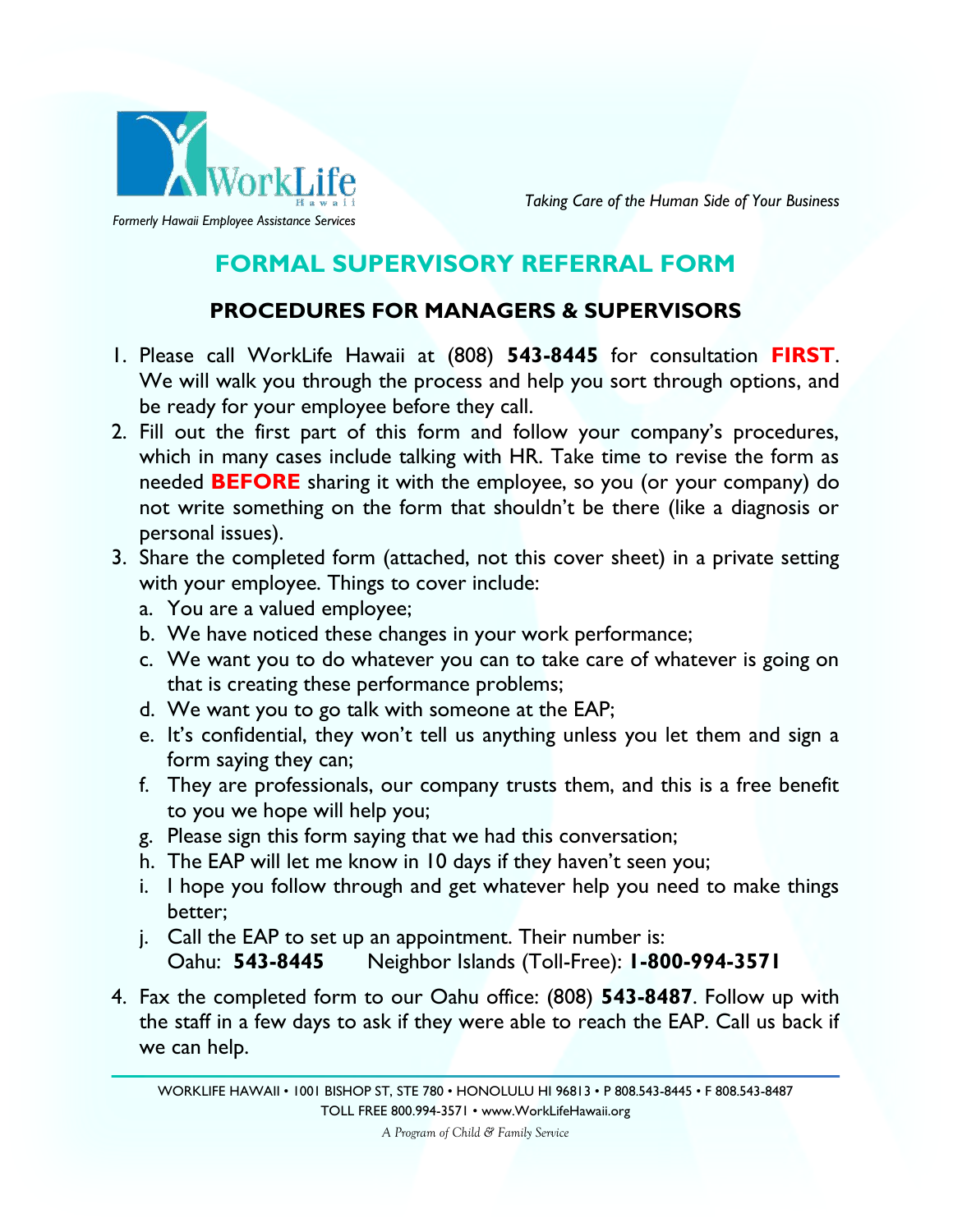

*Taking Care of the Human Side of Your Business*

# **FORMAL SUPERVISORY REFERRAL FORM**

# **PROCEDURES FOR MANAGERS & SUPERVISORS**

- 1. Please call WorkLife Hawaii at (808) **543-8445** for consultation **FIRST**. We will walk you through the process and help you sort through options, and be ready for your employee before they call.
- 2. Fill out the first part of this form and follow your company's procedures, which in many cases include talking with HR. Take time to revise the form as needed **BEFORE** sharing it with the employee, so you (or your company) do not write something on the form that shouldn't be there (like a diagnosis or personal issues).
- 3. Share the completed form (attached, not this cover sheet) in a private setting with your employee. Things to cover include:
	- a. You are a valued employee;
	- b. We have noticed these changes in your work performance;
	- c. We want you to do whatever you can to take care of whatever is going on that is creating these performance problems;
	- d. We want you to go talk with someone at the EAP;
	- e. It's confidential, they won't tell us anything unless you let them and sign a form saying they can;
	- f. They are professionals, our company trusts them, and this is a free benefit to you we hope will help you;
	- g. Please sign this form saying that we had this conversation;
	- h. The EAP will let me know in 10 days if they haven't seen you;
	- i. I hope you follow through and get whatever help you need to make things better;
	- j. Call the EAP to set up an appointment. Their number is: Oahu: **543-8445** Neighbor Islands (Toll-Free): **1-800-994-3571**
- 4. Fax the completed form to our Oahu office: (808) **543-8487**. Follow up with the staff in a few days to ask if they were able to reach the EAP. Call us back if we can help.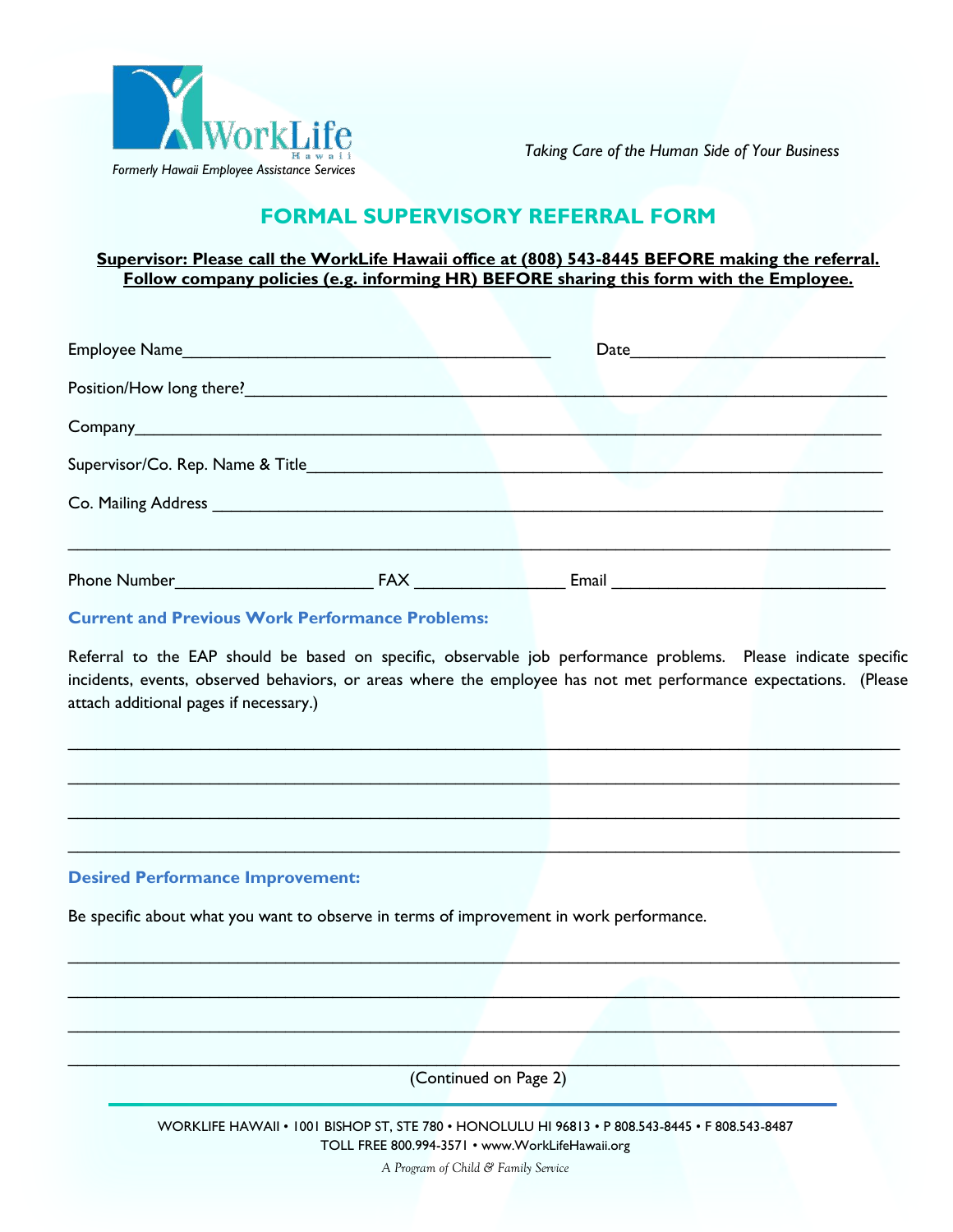

*Taking Care of the Human Side of Your Business*

# **FORMAL SUPERVISORY REFERRAL FORM**

### **Supervisor: Please call the WorkLife Hawaii office at (808) 543-8445 BEFORE making the referral. Follow company policies (e.g. informing HR) BEFORE sharing this form with the Employee.**

| Position/How long there?<br><u>Internal product</u> |            |                                  |  |
|-----------------------------------------------------|------------|----------------------------------|--|
|                                                     |            |                                  |  |
|                                                     |            |                                  |  |
|                                                     |            |                                  |  |
|                                                     |            |                                  |  |
| <b>Phone Number Example 2014</b>                    | <b>FAX</b> | Email <u>___________________</u> |  |

### **Current and Previous Work Performance Problems:**

Referral to the EAP should be based on specific, observable job performance problems. Please indicate specific incidents, events, observed behaviors, or areas where the employee has not met performance expectations. (Please attach additional pages if necessary.)

 $\mathcal{L}_\mathcal{L} = \{ \mathcal{L}_\mathcal{L} = \{ \mathcal{L}_\mathcal{L} = \{ \mathcal{L}_\mathcal{L} = \{ \mathcal{L}_\mathcal{L} = \{ \mathcal{L}_\mathcal{L} = \{ \mathcal{L}_\mathcal{L} = \{ \mathcal{L}_\mathcal{L} = \{ \mathcal{L}_\mathcal{L} = \{ \mathcal{L}_\mathcal{L} = \{ \mathcal{L}_\mathcal{L} = \{ \mathcal{L}_\mathcal{L} = \{ \mathcal{L}_\mathcal{L} = \{ \mathcal{L}_\mathcal{L} = \{ \mathcal{L}_\mathcal{$ 

 $\_$  , and the set of the set of the set of the set of the set of the set of the set of the set of the set of the set of the set of the set of the set of the set of the set of the set of the set of the set of the set of th

 $\_$  ,  $\_$  ,  $\_$  ,  $\_$  ,  $\_$  ,  $\_$  ,  $\_$  ,  $\_$  ,  $\_$  ,  $\_$  ,  $\_$  ,  $\_$  ,  $\_$  ,  $\_$  ,  $\_$  ,  $\_$  ,  $\_$  ,  $\_$  ,  $\_$  ,  $\_$  ,  $\_$  ,  $\_$  ,  $\_$  ,  $\_$  ,  $\_$  ,  $\_$  ,  $\_$  ,  $\_$  ,  $\_$  ,  $\_$  ,  $\_$  ,  $\_$  ,  $\_$  ,  $\_$  ,  $\_$  ,  $\_$  ,  $\_$  ,

 $\mathcal{L}_\text{max}$  and  $\mathcal{L}_\text{max}$  and  $\mathcal{L}_\text{max}$  and  $\mathcal{L}_\text{max}$  and  $\mathcal{L}_\text{max}$  and  $\mathcal{L}_\text{max}$ 

 $\_$  ,  $\_$  ,  $\_$  ,  $\_$  ,  $\_$  ,  $\_$  ,  $\_$  ,  $\_$  ,  $\_$  ,  $\_$  ,  $\_$  ,  $\_$  ,  $\_$  ,  $\_$  ,  $\_$  ,  $\_$  ,  $\_$  ,  $\_$  ,  $\_$  ,  $\_$  ,  $\_$  ,  $\_$  ,  $\_$  ,  $\_$  ,  $\_$  ,  $\_$  ,  $\_$  ,  $\_$  ,  $\_$  ,  $\_$  ,  $\_$  ,  $\_$  ,  $\_$  ,  $\_$  ,  $\_$  ,  $\_$  ,  $\_$  ,

 $\Box$  . The contract of the contract of the contract of the contract of the contract of the contract of the contract of

 $\Box$  . The contribution of the contribution of the contribution of the contribution of the contribution of the contribution of the contribution of the contribution of the contribution of the contribution of the contributi

#### **Desired Performance Improvement:**

Be specific about what you want to observe in terms of improvement in work performance.

 $\mathcal{L}=\mathcal{L}=\mathcal{L}=\mathcal{L}=\mathcal{L}=\mathcal{L}=\mathcal{L}=\mathcal{L}=\mathcal{L}=\mathcal{L}=\mathcal{L}=\mathcal{L}=\mathcal{L}=\mathcal{L}=\mathcal{L}=\mathcal{L}=\mathcal{L}=\mathcal{L}=\mathcal{L}=\mathcal{L}=\mathcal{L}=\mathcal{L}=\mathcal{L}=\mathcal{L}=\mathcal{L}=\mathcal{L}=\mathcal{L}=\mathcal{L}=\mathcal{L}=\mathcal{L}=\mathcal{L}=\mathcal{L}=\mathcal{L}=\mathcal{L}=\mathcal{L}=\mathcal{L}=\mathcal{$ (Continued on Page 2)

> WORKLIFE HAWAII • 1001 BISHOP ST, STE 780 • HONOLULU HI 96813 • P 808.543-8445 • F 808.543-8487 TOLL FREE 800.994-3571 • [www.WorkLifeHawaii.org](http://www.worklifehawaii.org/)

> > *A Program of Child & Family Service*